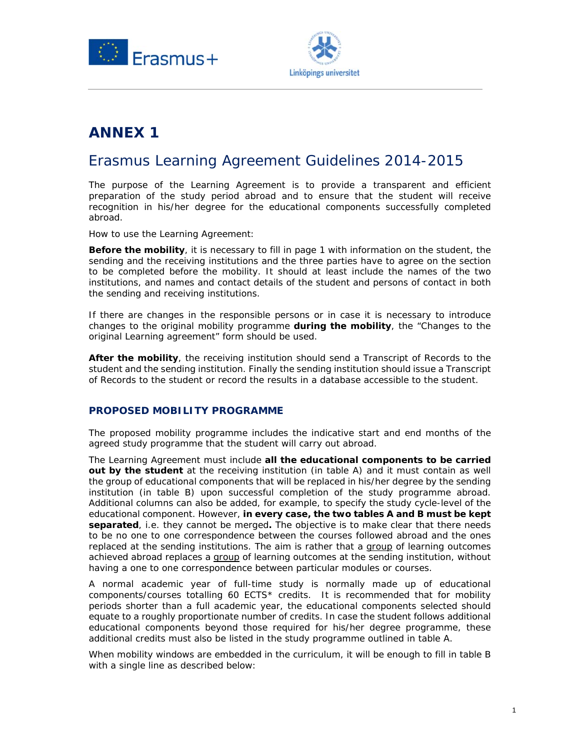



# **ANNEX 1**

## Erasmus Learning Agreement Guidelines 2014-2015

The purpose of the Learning Agreement is to provide a transparent and efficient preparation of the study period abroad and to ensure that the student will receive recognition in his/her degree for the educational components successfully completed abroad.

How to use the Learning Agreement:

**Before the mobility**, it is necessary to fill in page 1 with information on the student, the sending and the receiving institutions and the three parties have to agree on the section to be completed before the mobility. It should at least include the names of the two institutions, and names and contact details of the student and persons of contact in both the sending and receiving institutions.

If there are changes in the responsible persons or in case it is necessary to introduce changes to the original mobility programme **during the mobility**, the "Changes to the original Learning agreement" form should be used.

**After the mobility**, the receiving institution should send a Transcript of Records to the student and the sending institution. Finally the sending institution should issue a Transcript of Records to the student or record the results in a database accessible to the student.

#### **PROPOSED MOBILITY PROGRAMME**

The proposed mobility programme includes the indicative start and end months of the agreed study programme that the student will carry out abroad.

The Learning Agreement must include **all the educational components to be carried out by the student** at the receiving institution (in table A) and it must contain as well the group of educational components that will be replaced in his/her degree by the sending institution (in table B) upon successful completion of the study programme abroad. Additional columns can also be added, for example, to specify the study cycle-level of the educational component. However, **in every case, the two tables A and B must be kept separated**, i.e. they cannot be merged**.** The objective is to make clear that there needs to be no one to one correspondence between the courses followed abroad and the ones replaced at the sending institutions. The aim is rather that a group of learning outcomes achieved abroad replaces a group of learning outcomes at the sending institution, without having a one to one correspondence between particular modules or courses.

A normal academic year of full-time study is normally made up of educational components/courses totalling 60 ECTS\* credits. It is recommended that for mobility periods shorter than a full academic year, the educational components selected should equate to a roughly proportionate number of credits. In case the student follows additional educational components beyond those required for his/her degree programme, these additional credits must also be listed in the study programme outlined in table A.

When mobility windows are embedded in the curriculum, it will be enough to fill in table B with a single line as described below: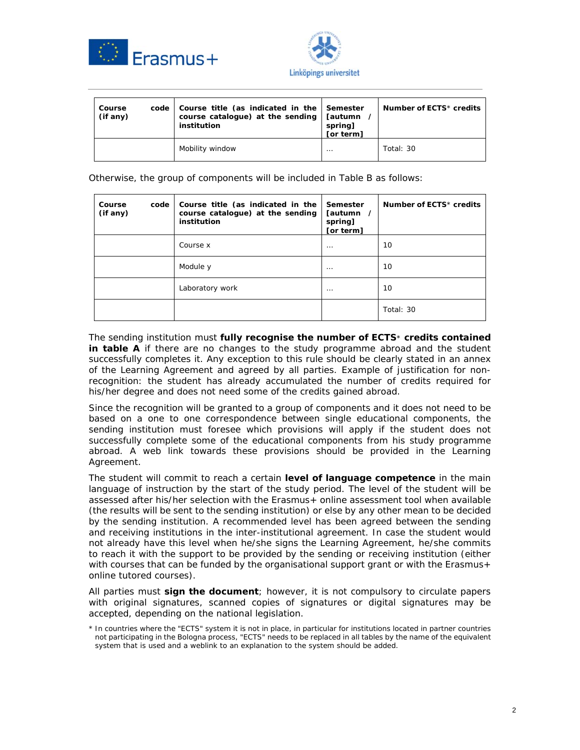



| Course<br>$(if$ any $)$ | code l | Course title (as indicated in the   Semester<br>course catalogue) at the sending<br>institution | <b>Tautumn</b><br>spring]<br>[or term] | Number of $ECTS*$ credits |
|-------------------------|--------|-------------------------------------------------------------------------------------------------|----------------------------------------|---------------------------|
|                         |        | Mobility window                                                                                 | .                                      | Total: $30$               |

Otherwise, the group of components will be included in Table B as follows:

| Course<br>code<br>(if any) | Course title (as indicated in the<br>course catalogue) at the sending<br>institution | Semester<br>[autumn /<br>spring]<br>[or term] | Number of ECTS* credits |
|----------------------------|--------------------------------------------------------------------------------------|-----------------------------------------------|-------------------------|
|                            | Course x                                                                             | $\cdots$                                      | 10                      |
|                            | Module y                                                                             | $\cdots$                                      | 10                      |
|                            | Laboratory work                                                                      | $\cdots$                                      | 10                      |
|                            |                                                                                      |                                               | Total: 30               |

The sending institution must **fully recognise the number of ECTS**\* **credits contained in table A** if there are no changes to the study programme abroad and the student successfully completes it. Any exception to this rule should be clearly stated in an annex of the Learning Agreement and agreed by all parties. Example of justification for nonrecognition: the student has already accumulated the number of credits required for his/her degree and does not need some of the credits gained abroad.

Since the recognition will be granted to a group of components and it does not need to be based on a one to one correspondence between single educational components, the sending institution must foresee which provisions will apply if the student does not successfully complete some of the educational components from his study programme abroad. A web link towards these provisions should be provided in the Learning Agreement.

The student will commit to reach a certain **level of language competence** in the main language of instruction by the start of the study period. The level of the student will be assessed after his/her selection with the Erasmus+ online assessment tool when available (the results will be sent to the sending institution) or else by any other mean to be decided by the sending institution. A recommended level has been agreed between the sending and receiving institutions in the inter-institutional agreement. In case the student would not already have this level when he/she signs the Learning Agreement, he/she commits to reach it with the support to be provided by the sending or receiving institution (either with courses that can be funded by the organisational support grant or with the Erasmus+ online tutored courses).

All parties must **sign the document**; however, it is not compulsory to circulate papers with original signatures, scanned copies of signatures or digital signatures may be accepted, depending on the national legislation.

<sup>\*</sup> In countries where the "ECTS" system it is not in place, in particular for institutions located in partner countries not participating in the Bologna process, "ECTS" needs to be replaced in all tables by the name of the equivalent system that is used and a weblink to an explanation to the system should be added.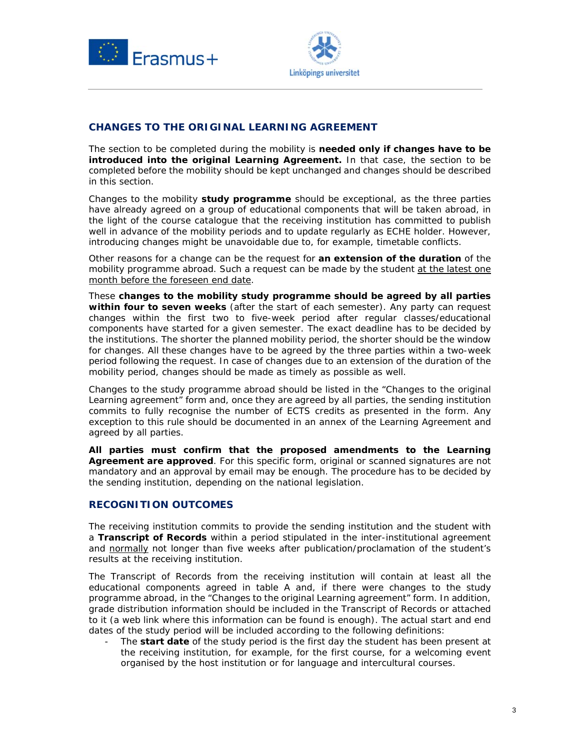



### **CHANGES TO THE ORIGINAL LEARNING AGREEMENT**

The section to be completed during the mobility is **needed only if changes have to be introduced into the original Learning Agreement.** In that case, the section to be completed before the mobility should be kept unchanged and changes should be described in this section.

Changes to the mobility **study programme** should be exceptional, as the three parties have already agreed on a group of educational components that will be taken abroad, in the light of the course catalogue that the receiving institution has committed to publish well in advance of the mobility periods and to update regularly as ECHE holder. However, introducing changes might be unavoidable due to, for example, timetable conflicts.

Other reasons for a change can be the request for **an extension of the duration** of the mobility programme abroad. Such a request can be made by the student at the latest one month before the foreseen end date.

These **changes to the mobility study programme should be agreed by all parties within four to seven weeks** (after the start of each semester). Any party can request changes within the first two to five-week period after regular classes/educational components have started for a given semester. The exact deadline has to be decided by the institutions. The shorter the planned mobility period, the shorter should be the window for changes. All these changes have to be agreed by the three parties within a two-week period following the request. In case of changes due to an extension of the duration of the mobility period, changes should be made as timely as possible as well.

Changes to the study programme abroad should be listed in the "Changes to the original Learning agreement" form and, once they are agreed by all parties, the sending institution commits to fully recognise the number of ECTS credits as presented in the form. Any exception to this rule should be documented in an annex of the Learning Agreement and agreed by all parties.

**All parties must confirm that the proposed amendments to the Learning Agreement are approved**. For this specific form, original or scanned signatures are not mandatory and an approval by email may be enough. The procedure has to be decided by the sending institution, depending on the national legislation.

#### **RECOGNITION OUTCOMES**

The receiving institution commits to provide the sending institution and the student with a **Transcript of Records** within a period stipulated in the inter-institutional agreement and normally not longer than five weeks after publication/proclamation of the student's results at the receiving institution.

The Transcript of Records from the receiving institution will contain at least all the educational components agreed in table A and, if there were changes to the study programme abroad, in the "Changes to the original Learning agreement" form. In addition, grade distribution information should be included in the Transcript of Records or attached to it (a web link where this information can be found is enough). The actual start and end dates of the study period will be included according to the following definitions:

The **start date** of the study period is the first day the student has been present at the receiving institution, for example, for the first course, for a welcoming event organised by the host institution or for language and intercultural courses.